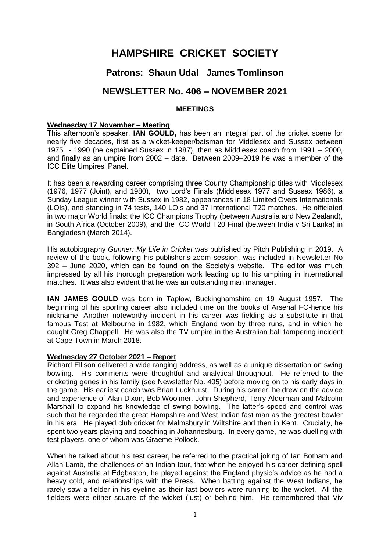# **HAMPSHIRE CRICKET SOCIETY**

# **Patrons: Shaun Udal James Tomlinson**

# **NEWSLETTER No. 406 – NOVEMBER 2021**

### **MEETINGS**

#### **Wednesday 17 November – Meeting**

This afternoon's speaker, **IAN GOULD,** has been an integral part of the cricket scene for nearly five decades, first as a wicket-keeper/batsman for Middlesex and Sussex between 1975 - 1990 (he captained Sussex in 1987), then as Middlesex coach from 1991 – 2000, and finally as an umpire from 2002 – date. Between 2009–2019 he was a member of the ICC Elite Umpires' Panel.

It has been a rewarding career comprising three County Championship titles with Middlesex (1976, 1977 (Joint), and 1980), two Lord's Finals (Middlesex 1977 and Sussex 1986), a Sunday League winner with Sussex in 1982, appearances in 18 Limited Overs Internationals (LOIs), and standing in 74 tests, 140 LOIs and 37 International T20 matches. He officiated in two major World finals: the ICC Champions Trophy (between Australia and New Zealand), in South Africa (October 2009), and the ICC World T20 Final (between India v Sri Lanka) in Bangladesh (March 2014).

His autobiography *Gunner: My Life in Cricket* was published by Pitch Publishing in 2019. A review of the book, following his publisher's zoom session, was included in Newsletter No 392 – June 2020, which can be found on the Society's website. The editor was much impressed by all his thorough preparation work leading up to his umpiring in International matches. It was also evident that he was an outstanding man manager.

**IAN JAMES GOULD** was born in Taplow, Buckinghamshire on 19 August 1957. The beginning of his sporting career also included time on the books of Arsenal FC-hence his nickname. Another noteworthy incident in his career was fielding as a substitute in that famous Test at Melbourne in 1982, which England won by three runs, and in which he caught Greg Chappell. He was also the TV umpire in the Australian ball tampering incident at Cape Town in March 2018.

## **Wednesday 27 October 2021 – Report**

Richard Ellison delivered a wide ranging address, as well as a unique dissertation on swing bowling. His comments were thoughtful and analytical throughout. He referred to the cricketing genes in his family (see Newsletter No. 405) before moving on to his early days in the game. His earliest coach was Brian Luckhurst. During his career, he drew on the advice and experience of Alan Dixon, Bob Woolmer, John Shepherd, Terry Alderman and Malcolm Marshall to expand his knowledge of swing bowling. The latter's speed and control was such that he regarded the great Hampshire and West Indian fast man as the greatest bowler in his era. He played club cricket for Malmsbury in Wiltshire and then in Kent. Crucially, he spent two years playing and coaching in Johannesburg. In every game, he was duelling with test players, one of whom was Graeme Pollock.

When he talked about his test career, he referred to the practical joking of Ian Botham and Allan Lamb, the challenges of an Indian tour, that when he enjoyed his career defining spell against Australia at Edgbaston, he played against the England physio's advice as he had a heavy cold, and relationships with the Press. When batting against the West Indians, he rarely saw a fielder in his eyeline as their fast bowlers were running to the wicket. All the fielders were either square of the wicket (just) or behind him. He remembered that Viv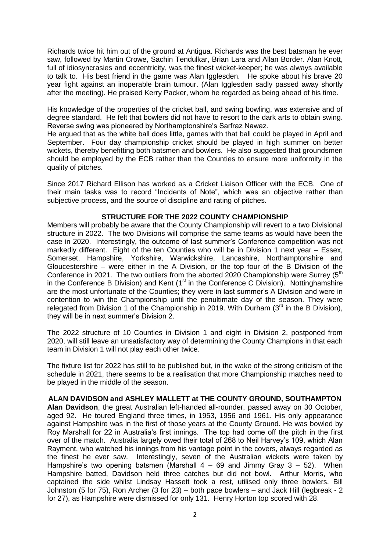Richards twice hit him out of the ground at Antigua. Richards was the best batsman he ever saw, followed by Martin Crowe, Sachin Tendulkar, Brian Lara and Allan Border. Alan Knott, full of idiosyncrasies and eccentricity, was the finest wicket-keeper; he was always available to talk to. His best friend in the game was Alan Igglesden. He spoke about his brave 20 year fight against an inoperable brain tumour. (Alan Igglesden sadly passed away shortly after the meeting). He praised Kerry Packer, whom he regarded as being ahead of his time.

His knowledge of the properties of the cricket ball, and swing bowling, was extensive and of degree standard. He felt that bowlers did not have to resort to the dark arts to obtain swing. Reverse swing was pioneered by Northamptonshire's Sarfraz Nawaz.

He argued that as the white ball does little, games with that ball could be played in April and September. Four day championship cricket should be played in high summer on better wickets, thereby benefitting both batsmen and bowlers. He also suggested that groundsmen should be employed by the ECB rather than the Counties to ensure more uniformity in the quality of pitches.

Since 2017 Richard Ellison has worked as a Cricket Liaison Officer with the ECB. One of their main tasks was to record "Incidents of Note", which was an objective rather than subjective process, and the source of discipline and rating of pitches.

### **STRUCTURE FOR THE 2022 COUNTY CHAMPIONSHIP**

Members will probably be aware that the County Championship will revert to a two Divisional structure in 2022. The two Divisions will comprise the same teams as would have been the case in 2020. Interestingly, the outcome of last summer's Conference competition was not markedly different. Eight of the ten Counties who will be in Division 1 next year – Essex, Somerset, Hampshire, Yorkshire, Warwickshire, Lancashire, Northamptonshire and Gloucestershire – were either in the A Division, or the top four of the B Division of the Conference in 2021. The two outliers from the aborted 2020 Championship were Surrey  $(5<sup>th</sup>$ in the Conference B Division) and Kent  $(1<sup>st</sup>$  in the Conference C Division). Nottinghamshire are the most unfortunate of the Counties; they were in last summer's A Division and were in contention to win the Championship until the penultimate day of the season. They were relegated from Division 1 of the Championship in 2019. With Durham  $(3<sup>rd</sup>$  in the B Division), they will be in next summer's Division 2.

The 2022 structure of 10 Counties in Division 1 and eight in Division 2, postponed from 2020, will still leave an unsatisfactory way of determining the County Champions in that each team in Division 1 will not play each other twice.

The fixture list for 2022 has still to be published but, in the wake of the strong criticism of the schedule in 2021, there seems to be a realisation that more Championship matches need to be played in the middle of the season.

**ALAN DAVIDSON and ASHLEY MALLETT at THE COUNTY GROUND, SOUTHAMPTON Alan Davidson**, the great Australian left-handed all-rounder, passed away on 30 October, aged 92. He toured England three times, in 1953, 1956 and 1961. His only appearance against Hampshire was in the first of those years at the County Ground. He was bowled by Roy Marshall for 22 in Australia's first innings. The top had come off the pitch in the first over of the match. Australia largely owed their total of 268 to Neil Harvey's 109, which Alan Rayment, who watched his innings from his vantage point in the covers, always regarded as the finest he ever saw. Interestingly, seven of the Australian wickets were taken by Hampshire's two opening batsmen (Marshall  $4 - 69$  and Jimmy Gray  $3 - 52$ ). When Hampshire batted, Davidson held three catches but did not bowl. Arthur Morris, who captained the side whilst Lindsay Hassett took a rest, utilised only three bowlers, Bill Johnston (5 for 75), Ron Archer (3 for 23) – both pace bowlers – and Jack Hill (legbreak - 2 for 27), as Hampshire were dismissed for only 131. Henry Horton top scored with 28.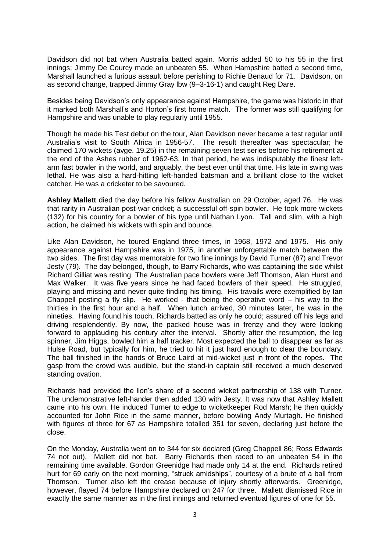Davidson did not bat when Australia batted again. Morris added 50 to his 55 in the first innings; Jimmy De Courcy made an unbeaten 55. When Hampshire batted a second time, Marshall launched a furious assault before perishing to Richie Benaud for 71. Davidson, on as second change, trapped Jimmy Gray lbw (9–3-16-1) and caught Reg Dare.

Besides being Davidson's only appearance against Hampshire, the game was historic in that it marked both Marshall's and Horton's first home match. The former was still qualifying for Hampshire and was unable to play regularly until 1955.

Though he made his Test debut on the tour, Alan Davidson never became a test regular until Australia's visit to South Africa in 1956-57. The result thereafter was spectacular; he claimed 170 wickets (avge. 19.25) in the remaining seven test series before his retirement at the end of the Ashes rubber of 1962-63. In that period, he was indisputably the finest leftarm fast bowler in the world, and arguably, the best ever until that time. His late in swing was lethal. He was also a hard-hitting left-handed batsman and a brilliant close to the wicket catcher. He was a cricketer to be savoured.

**Ashley Mallett** died the day before his fellow Australian on 29 October, aged 76. He was that rarity in Australian post-war cricket; a successful off-spin bowler. He took more wickets (132) for his country for a bowler of his type until Nathan Lyon. Tall and slim, with a high action, he claimed his wickets with spin and bounce.

Like Alan Davidson, he toured England three times, in 1968, 1972 and 1975. His only appearance against Hampshire was in 1975, in another unforgettable match between the two sides. The first day was memorable for two fine innings by David Turner (87) and Trevor Jesty (79). The day belonged, though, to Barry Richards, who was captaining the side whilst Richard Gilliat was resting. The Australian pace bowlers were Jeff Thomson, Alan Hurst and Max Walker. It was five years since he had faced bowlers of their speed. He struggled, playing and missing and never quite finding his timing. His travails were exemplified by Ian Chappell posting a fly slip. He worked - that being the operative word – his way to the thirties in the first hour and a half. When lunch arrived, 30 minutes later, he was in the nineties. Having found his touch, Richards batted as only he could; assured off his legs and driving resplendently. By now, the packed house was in frenzy and they were looking forward to applauding his century after the interval. Shortly after the resumption, the leg spinner, Jim Higgs, bowled him a half tracker. Most expected the ball to disappear as far as Hulse Road, but typically for him, he tried to hit it just hard enough to clear the boundary. The ball finished in the hands of Bruce Laird at mid-wicket just in front of the ropes. The gasp from the crowd was audible, but the stand-in captain still received a much deserved standing ovation.

Richards had provided the lion's share of a second wicket partnership of 138 with Turner. The undemonstrative left-hander then added 130 with Jesty. It was now that Ashley Mallett came into his own. He induced Turner to edge to wicketkeeper Rod Marsh; he then quickly accounted for John Rice in the same manner, before bowling Andy Murtagh. He finished with figures of three for 67 as Hampshire totalled 351 for seven, declaring just before the close.

On the Monday, Australia went on to 344 for six declared (Greg Chappell 86; Ross Edwards 74 not out). Mallett did not bat. Barry Richards then raced to an unbeaten 54 in the remaining time available. Gordon Greenidge had made only 14 at the end. Richards retired hurt for 69 early on the next morning, "struck amidships", courtesy of a brute of a ball from Thomson. Turner also left the crease because of injury shortly afterwards. Greenidge, however, flayed 74 before Hampshire declared on 247 for three. Mallett dismissed Rice in exactly the same manner as in the first innings and returned eventual figures of one for 55.